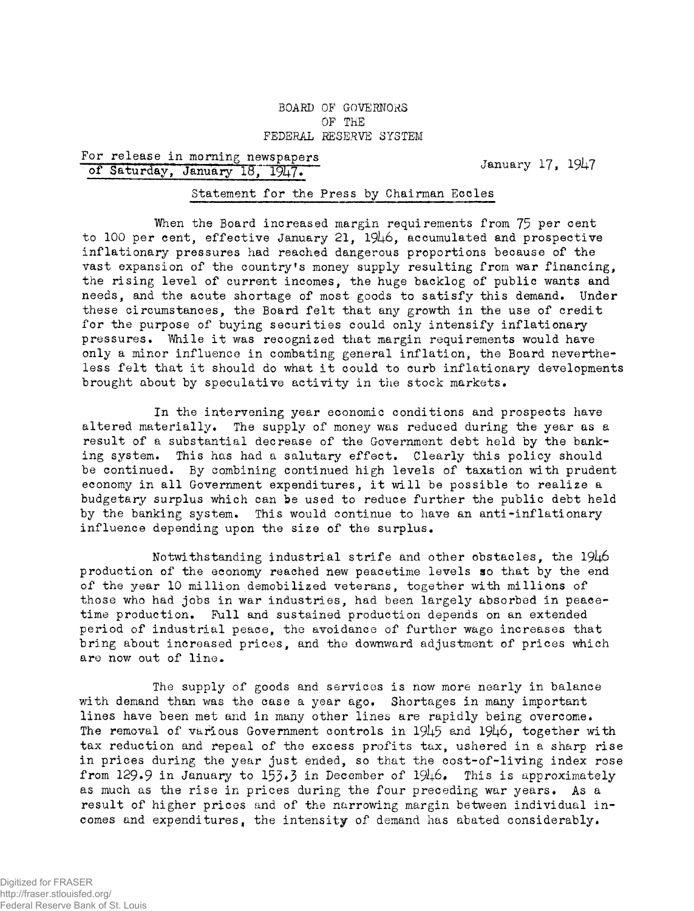## BOARD OF GOVERNORS OF THE FEDERAL RESERVE SYSTEM

## For release in morning newspapers<br>  $\frac{1}{2}$   $\frac{1}{2}$   $\frac{1}{2}$   $\frac{1}{2}$   $\frac{1}{2}$   $\frac{1}{2}$   $\frac{1}{2}$   $\frac{1}{2}$   $\frac{1}{2}$ of Saturday, January  $18.1947.$

## Statement for the Press by Chairman Eocles

When the Board increased margin requirements from  $75$  per cent to 100 per cent, effective January 21, 1946, accumulated and prospective inflationary pressures had reached dangerous proportions because of the vast expansion of the country's money supply resulting from war financing, the rising level of current incomes, the huge backlog of public wants and needs, and the acute shortage of most goods to satisfy this demand. Under these circumstances, the Board felt that any growth in the use of credit for the purpose of buying securities could only intensify inflationary pressures. While it was recognized that margin requirements would have only a minor influence in combating general inflation, the Board nevertheless felt that it should do what it could to curb inflationary developments brought about by speculative activity in the stock markets.

In the intervening year economic conditions and prospects have altered materially. The supply of money was reduced during the year as a result of a substantial decrease of the Government debt held by the banking system. This has had a salutary effect. Clearly this policy should be continued. By combining continued high levels of taxation with prudent economy in all Government expenditures, it will be possible to realize a budgetary surplus which can be used to reduce further the public debt held by the banking system. This would continue to have an anti-inflationary influence depending upon the size of the surplus.

Notwithstanding industrial strife and other obstacles, the  $19\mu$ 6 production of the economy reached new peacetime levels so that by the end of the year 10 million demobilized veterans, together with millions of those who had jobs in war industries, had been largely absorbed in peacetime production. Full and sustained production depends on an extended period of industrial peace, the avoidance of further wage increases that bring about increased prices, and the downward adjustment of prices which are now out of line.

The supply of goods and services is now more nearly in balance with demand than was the case a year ago. Shortages in many important lines have been met and in many other lines are rapidly being overcome. The removal of various Government controls in  $19\mu5$  and  $19\mu6$ , together with tax reduction and repeal of the excess profits tax, ushered in a sharp rise in prices during the year just ended, so that the cost-of-living index rose from  $129.9$  in January to  $153.3$  in December of  $1946.$  This is approximately as much as the rise in prices during the four preceding war years. As a result of higher prices and of the narrowing margin between individual incomes and expenditures, the intensity of demand has abated considerably.